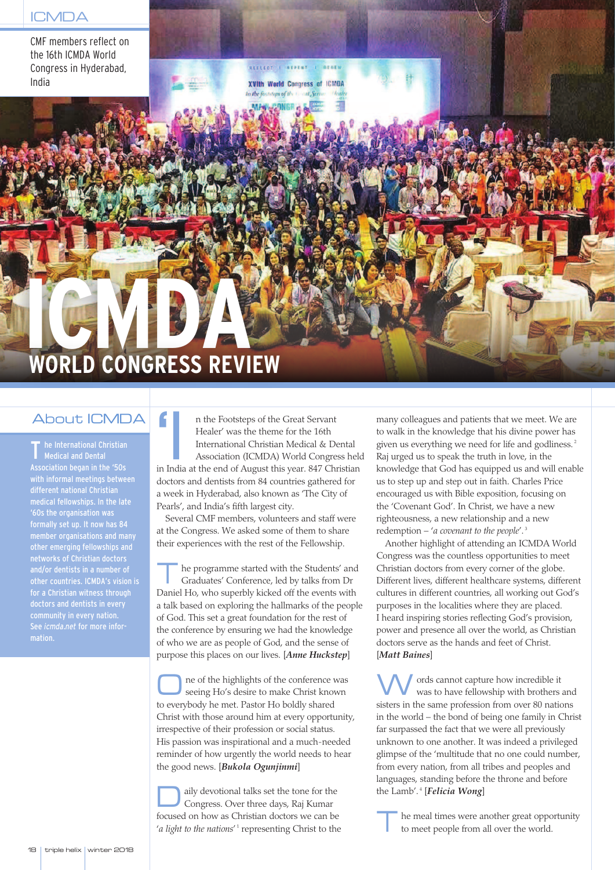CMF members reflect on the 16th ICMDA World Congress in Hyderabad, India

REFLECT | WEPERT | L **XVIth World Congress of ICMDA** 

## **I WORLD CONGRESS REVIEW C M D A**

## About ICMDA

he International Christian Medical and Dental Association began in the '50s with informal meetings between different national Christian medical fellowships. In the late '60s the organisation was formally set up. It now has 84 member organisations and many other emerging fellowships and networks of Christian doctors other countries. ICMDA's vision is for a Christian witness through community in every nation. See *icmda.net* for more infor-

'I n the Footsteps of the Great Servant Healer' was the theme for the 16th International Christian Medical & Dental Association (ICMDA) World Congress held in India at the end of August this year. 847 Christian doctors and dentists from 84 countries gathered for a week in Hyderabad, also known as 'The City of Pearls', and India's fifth largest city.

Several CMF members, volunteers and staff were at the Congress. We asked some of them to share their experiences with the rest of the Fellowship.

he programme started with the Students' and Graduates' Conference, led by talks from Dr Daniel Ho, who superbly kicked off the events with a talk based on exploring the hallmarks of the people of God. This set a great foundation for the rest of the conference by ensuring we had the knowledge of who we are as people of God, and the sense of purpose this places on our lives. [*Anne Huckstep*]

ne of the highlights of the conference was seeing Ho's desire to make Christ known to everybody he met. Pastor Ho boldly shared Christ with those around him at every opportunity, irrespective of their profession or social status. His passion was inspirational and a much-needed reminder of how urgently the world needs to hear the good news. [*Bukola Ogunjinmi*]

aily devotional talks set the tone for the Congress. Over three days, Raj Kumar focused on how as Christian doctors we can be 'a *light to the nations'*<sup>1</sup> representing Christ to the

many colleagues and patients that we meet. We are to walk in the knowledge that his divine power has given us everything we need for life and godliness. 2 Raj urged us to speak the truth in love, in the knowledge that God has equipped us and will enable us to step up and step out in faith. Charles Price encouraged us with Bible exposition, focusing on the 'Covenant God'. In Christ, we have a new righteousness, a new relationship and a new redemption – '*a covenant to the people*'. 3

Another highlight of attending an ICMDA World Congress was the countless opportunities to meet Christian doctors from every corner of the globe. Different lives, different healthcare systems, different cultures in different countries, all working out God's purposes in the localities where they are placed. I heard inspiring stories reflecting God's provision, power and presence all over the world, as Christian doctors serve as the hands and feet of Christ. [*Matt Baines*]

ords cannot capture how incredible it was to have fellowship with brothers and sisters in the same profession from over 80 nations in the world – the bond of being one family in Christ far surpassed the fact that we were all previously unknown to one another. It was indeed a privileged glimpse of the 'multitude that no one could number, from every nation, from all tribes and peoples and languages, standing before the throne and before the Lamb'. <sup>4</sup> [*Felicia Wong*]

he meal times were another great opportunity to meet people from all over the world.